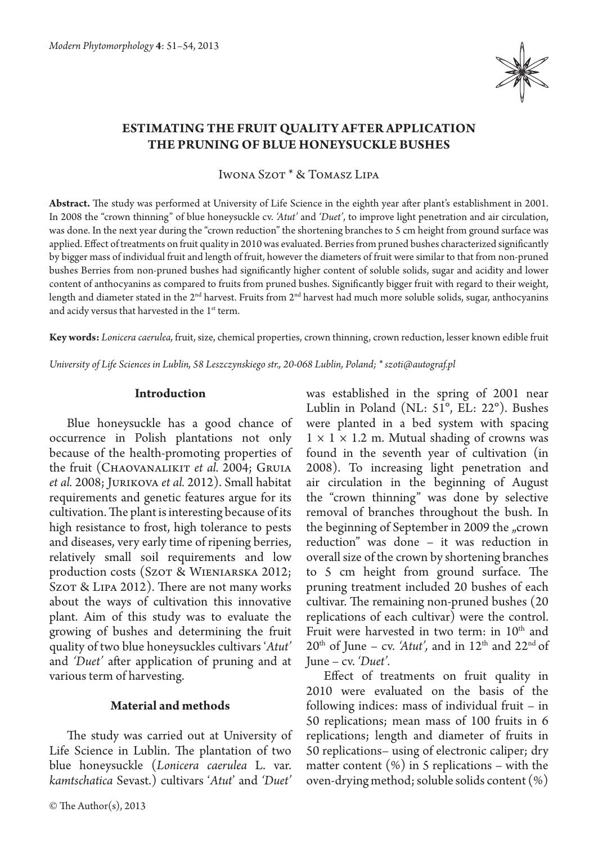

# **Estimating the fruit quality after application the pruning of blue honeysuckle bushes**

Iwona Szot \* & Tomasz Lipa

**Abstract.** The study was performed at University of Life Science in the eighth year after plant's establishment in 2001. In 2008 the "crown thinning" of blue honeysuckle cv. *'Atut'* and *'Duet'*, to improve light penetration and air circulation, was done. In the next year during the "crown reduction" the shortening branches to 5 cm height from ground surface was applied. Effect of treatments on fruit quality in 2010 was evaluated. Berries from pruned bushes characterized significantly by bigger mass of individual fruit and length of fruit, however the diameters of fruit were similar to that from non-pruned bushes Berries from non-pruned bushes had significantly higher content of soluble solids, sugar and acidity and lower content of anthocyanins as compared to fruits from pruned bushes. Significantly bigger fruit with regard to their weight, length and diameter stated in the 2<sup>nd</sup> harvest. Fruits from 2<sup>nd</sup> harvest had much more soluble solids, sugar, anthocyanins and acidy versus that harvested in the 1<sup>st</sup> term.

**Key words:** *Lonicera caerulea,* fruit, size, chemical properties, crown thinning, crown reduction, lesser known edible fruit

*University of Life Sciences in Lublin, 58 Leszczynskiego str., 20-068 Lublin, Poland; \* szoti@autograf.pl*

### **Introduction**

Blue honeysuckle has a good chance of occurrence in Polish plantations not only because of the health-promoting properties of the fruit (CHAOVANALIKIT *et al.* 2004; GRUIA *et al.* 2008; Jurikova *et al.* 2012). Small habitat requirements and genetic features argue for its cultivation. The plant is interesting because of its high resistance to frost, high tolerance to pests and diseases, very early time of ripening berries, relatively small soil requirements and low production costs (Szot & WIENIARSKA 2012; Szot & Lipa 2012). There are not many works about the ways of cultivation this innovative plant. Aim of this study was to evaluate the growing of bushes and determining the fruit quality of two blue honeysuckles cultivars '*Atut'*  and *'Duet'* after application of pruning and at various term of harvesting.

#### **Material and methods**

The study was carried out at University of Life Science in Lublin. The plantation of two blue honeysuckle (*Lonicera caerulea* L. var. *kamtschatica* Sevast.) cultivars '*Atut*' and *'Duet'*  was established in the spring of 2001 near Lublin in Poland (NL: 51°, EL: 22°). Bushes were planted in a bed system with spacing  $1 \times 1 \times 1.2$  m. Mutual shading of crowns was found in the seventh year of cultivation (in 2008). To increasing light penetration and air circulation in the beginning of August the "crown thinning" was done by selective removal of branches throughout the bush. In the beginning of September in 2009 the "crown reduction" was done – it was reduction in overall size of the crown by shortening branches to 5 cm height from ground surface. The pruning treatment included 20 bushes of each cultivar. The remaining non-pruned bushes (20 replications of each cultivar) were the control. Fruit were harvested in two term: in  $10^{th}$  and  $20<sup>th</sup>$  of June – cv. 'Atut', and in  $12<sup>th</sup>$  and  $22<sup>nd</sup>$  of June – cv. *'Duet'.*

Effect of treatments on fruit quality in 2010 were evaluated on the basis of the following indices: mass of individual fruit – in 50 replications; mean mass of 100 fruits in 6 replications; length and diameter of fruits in 50 replications– using of electronic caliper; dry matter content  $(\%)$  in 5 replications – with the oven-drying method; soluble solids content (%)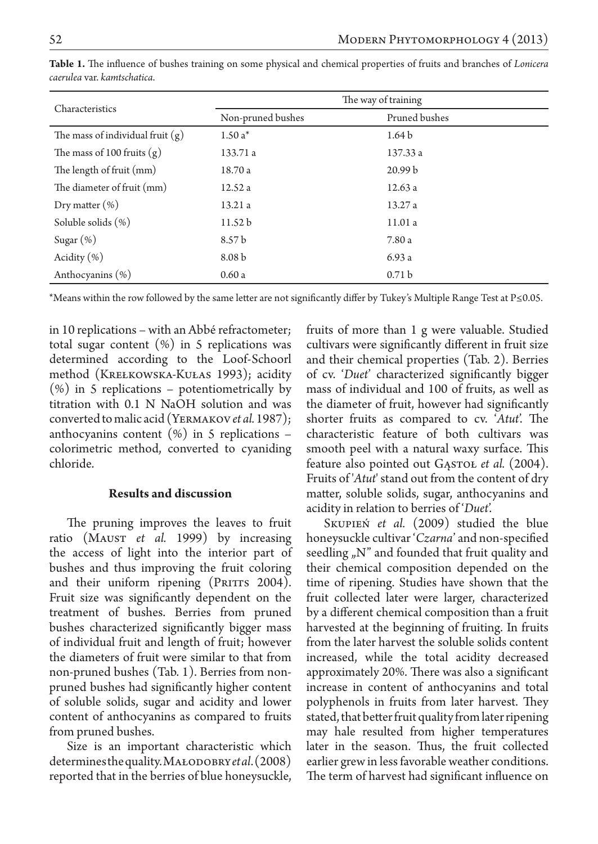| Characteristics                    | The way of training |                    |
|------------------------------------|---------------------|--------------------|
|                                    | Non-pruned bushes   | Pruned bushes      |
| The mass of individual fruit $(g)$ | $1.50a*$            | 1.64 <sub>b</sub>  |
| The mass of 100 fruits $(g)$       | 133.71 a            | 137.33 a           |
| The length of fruit (mm)           | 18.70 a             | 20.99 <sub>b</sub> |
| The diameter of fruit (mm)         | 12.52a              | 12.63a             |
| Dry matter $(\%)$                  | 13.21a              | 13.27a             |
| Soluble solids (%)                 | 11.52 <sub>b</sub>  | 11.01a             |
| Sugar $(\%)$                       | 8.57 b              | 7.80 a             |
| Acidity $(\% )$                    | 8.08 <sub>b</sub>   | 6.93a              |
| Anthocyanins (%)                   | 0.60a               | 0.71 <sub>b</sub>  |

**Table 1.** The influence of bushes training on some physical and chemical properties of fruits and branches of *Lonicera caerulea* var. *kamtschatica*.

\*Means within the row followed by the same letter are not significantly differ by Tukey's Multiple Range Test at P≤0.05.

in 10 replications – with an Abbé refractometer; total sugar content  $(\%)$  in 5 replications was determined according to the Loof-Schoorl method (KREŁKOWSKA-KUŁAS 1993); acidity (%) in 5 replications – potentiometrically by titration with 0.1 N NaOH solution and was converted to malic acid (Yermakov*et al.* 1987); anthocyanins content  $(\%)$  in 5 replications – colorimetric method, converted to cyaniding chloride.

## **Results and discussion**

The pruning improves the leaves to fruit ratio (Maust *et al.* 1999) by increasing the access of light into the interior part of bushes and thus improving the fruit coloring and their uniform ripening (PRITTS 2004). Fruit size was significantly dependent on the treatment of bushes. Berries from pruned bushes characterized significantly bigger mass of individual fruit and length of fruit; however the diameters of fruit were similar to that from non-pruned bushes (Tab. 1). Berries from nonpruned bushes had significantly higher content of soluble solids, sugar and acidity and lower content of anthocyanins as compared to fruits from pruned bushes.

Size is an important characteristic which determines the quality. Małodobry*et al*. (2008) reported that in the berries of blue honeysuckle, fruits of more than 1 g were valuable. Studied cultivars were significantly different in fruit size and their chemical properties (Tab. 2). Berries of cv. '*Duet*' characterized significantly bigger mass of individual and 100 of fruits, as well as the diameter of fruit, however had significantly shorter fruits as compared to cv. '*Atut*'. The characteristic feature of both cultivars was smooth peel with a natural waxy surface. This feature also pointed out GASTOL *et al.* (2004). Fruits of '*Atut*' stand out from the content of dry matter, soluble solids, sugar, anthocyanins and acidity in relation to berries of '*Duet*'.

Skupień *et al.* (2009) studied the blue honeysuckle cultivar '*Czarna*' and non-specified seedling  $\mu$ <sup>"</sup> and founded that fruit quality and their chemical composition depended on the time of ripening. Studies have shown that the fruit collected later were larger, characterized by a different chemical composition than a fruit harvested at the beginning of fruiting. In fruits from the later harvest the soluble solids content increased, while the total acidity decreased approximately 20%. There was also a significant increase in content of anthocyanins and total polyphenols in fruits from later harvest. They stated, that better fruit quality from later ripening may hale resulted from higher temperatures later in the season. Thus, the fruit collected earlier grew in less favorable weather conditions. The term of harvest had significant influence on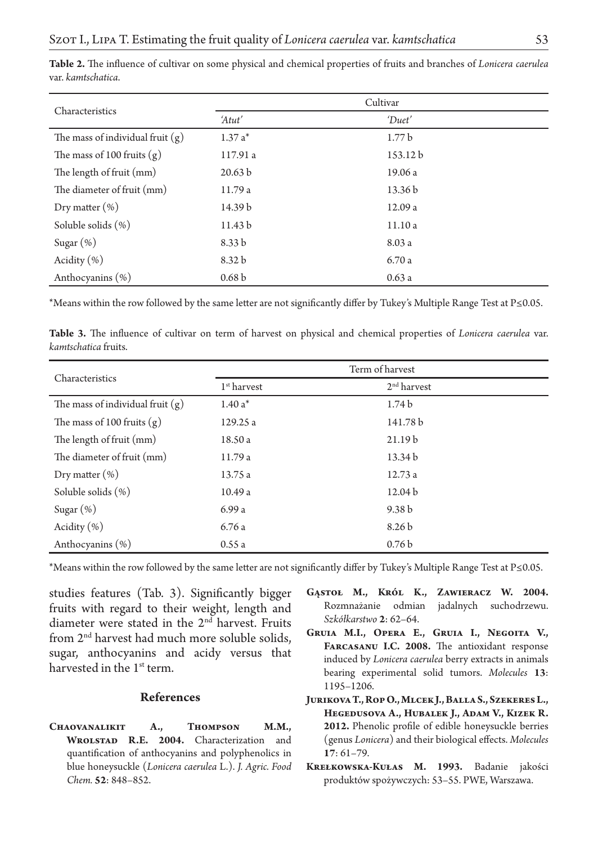| Characteristics                    | Cultivar           |                    |
|------------------------------------|--------------------|--------------------|
|                                    | 'Atut'             | 'Duet'             |
| The mass of individual fruit $(g)$ | $1.37a*$           | 1.77 <sub>b</sub>  |
| The mass of 100 fruits $(g)$       | 117.91 a           | 153.12 b           |
| The length of fruit (mm)           | 20.63 <sub>b</sub> | 19.06 a            |
| The diameter of fruit (mm)         | 11.79 a            | 13.36 <sub>b</sub> |
| Dry matter $(\%)$                  | 14.39 <sub>b</sub> | 12.09 a            |
| Soluble solids (%)                 | 11.43 <sub>b</sub> | 11.10a             |
| Sugar $(\%)$                       | 8.33 <sub>b</sub>  | 8.03 a             |
| Acidity $(\% )$                    | 8.32 <sub>b</sub>  | 6.70a              |
| Anthocyanins (%)                   | 0.68 <sub>b</sub>  | 0.63a              |

**Table 2.** The influence of cultivar on some physical and chemical properties of fruits and branches of *Lonicera caerulea*  var. *kamtschatica*.

\*Means within the row followed by the same letter are not significantly differ by Tukey's Multiple Range Test at P≤0.05.

**Table 3.** The influence of cultivar on term of harvest on physical and chemical properties of *Lonicera caerulea* var. *kamtschatica* fruits.

| Characteristics                    | Term of harvest |                    |
|------------------------------------|-----------------|--------------------|
|                                    | $1st$ harvest   | $2nd$ harvest      |
| The mass of individual fruit $(g)$ | $1.40a*$        | 1.74 <sub>b</sub>  |
| The mass of 100 fruits $(g)$       | 129.25 a        | 141.78 b           |
| The length of fruit (mm)           | 18.50 a         | 21.19 <sub>b</sub> |
| The diameter of fruit (mm)         | 11.79 a         | 13.34 b            |
| Dry matter $(\%)$                  | 13.75 a         | 12.73a             |
| Soluble solids (%)                 | 10.49a          | 12.04 <sub>b</sub> |
| Sugar $(\%)$                       | 6.99a           | 9.38 <sub>b</sub>  |
| Acidity $(\% )$                    | 6.76a           | 8.26 <sub>b</sub>  |
| Anthocyanins (%)                   | 0.55a           | 0.76 <sub>b</sub>  |

\*Means within the row followed by the same letter are not significantly differ by Tukey's Multiple Range Test at P≤0.05.

studies features (Tab. 3). Significantly bigger fruits with regard to their weight, length and diameter were stated in the 2<sup>nd</sup> harvest. Fruits from 2<sup>nd</sup> harvest had much more soluble solids, sugar, anthocyanins and acidy versus that harvested in the 1<sup>st</sup> term.

#### **References**

**Chaovanalikit A., Thompson M.M., Wrolstad R.E. 2004.** Characterization and quantification of anthocyanins and polyphenolics in blue honeysuckle (*Lonicera caerulea* L.). *J. Agric. Food Chem.* **52**: 848–852.

- **Gąstoł M., Król K., Zawieracz W. 2004.**  Rozmnażanie odmian jadalnych suchodrzewu. *Szkółkarstwo* **2**: 62–64.
- **Gruia M.I., Opera E., Gruia I., Negoita V., Farcasanu I.C. 2008.** The antioxidant response induced by *Lonicera caerulea* berry extracts in animals bearing experimental solid tumors. *Molecules* **13**: 1195–1206.
- **Jurikova T., Rop O., Mlcek J., Balla S., Szekeres L., Hegedusova A., Hubalek J., Adam V., Kizek R. 2012.** Phenolic profile of edible honeysuckle berries (genus *Lonicera*) and their biological effects. *Molecules*  **17**: 61–79.
- **Krełkowska-Kułas M. 1993.** Badanie jakości produktów spożywczych: 53–55. PWE, Warszawa.